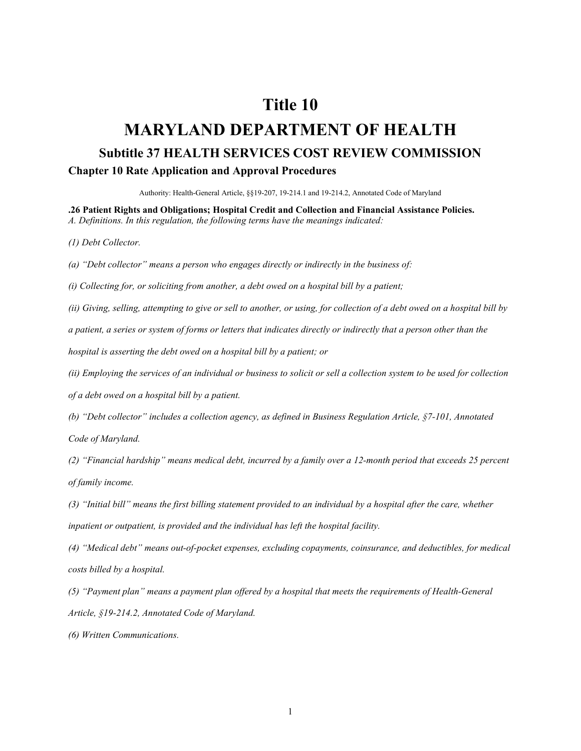## **Title 10**

## **MARYLAND DEPARTMENT OF HEALTH Subtitle 37 HEALTH SERVICES COST REVIEW COMMISSION Chapter 10 Rate Application and Approval Procedures**

Authority: Health-General Article, §§19-207, 19-214.1 and 19-214.2, Annotated Code of Maryland

**.26 Patient Rights and Obligations; Hospital Credit and Collection and Financial Assistance Policies.** *A. Definitions. In this regulation, the following terms have the meanings indicated:*

*(1) Debt Collector.*

*(a) "Debt collector" means a person who engages directly or indirectly in the business of:*

*(i) Collecting for, or soliciting from another, a debt owed on a hospital bill by a patient;*

*(ii) Giving, selling, attempting to give or sell to another, or using, for collection of a debt owed on a hospital bill by* 

*a patient, a series or system of forms or letters that indicates directly or indirectly that a person other than the* 

*hospital is asserting the debt owed on a hospital bill by a patient; or*

*(ii) Employing the services of an individual or business to solicit or sell a collection system to be used for collection* 

*of a debt owed on a hospital bill by a patient.*

*(b) "Debt collector" includes a collection agency, as defined in Business Regulation Article, §7-101, Annotated Code of Maryland.*

*(2) "Financial hardship" means medical debt, incurred by a family over a 12-month period that exceeds 25 percent of family income.*

*(3) "Initial bill" means the first billing statement provided to an individual by a hospital after the care, whether inpatient or outpatient, is provided and the individual has left the hospital facility.*

*(4) "Medical debt" means out-of-pocket expenses, excluding copayments, coinsurance, and deductibles, for medical costs billed by a hospital.*

*(5) "Payment plan" means a payment plan offered by a hospital that meets the requirements of Health-General Article, §19-214.2, Annotated Code of Maryland.*

*(6) Written Communications.*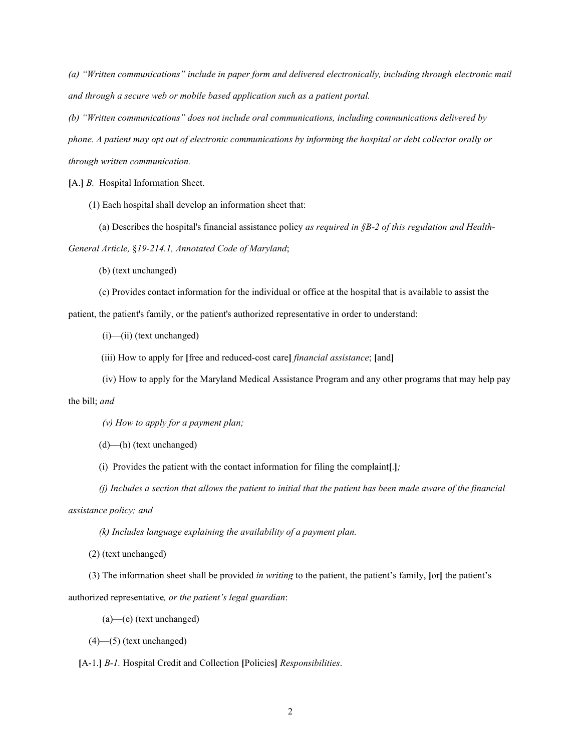*(a) "Written communications" include in paper form and delivered electronically, including through electronic mail and through a secure web or mobile based application such as a patient portal.* 

*(b) "Written communications" does not include oral communications, including communications delivered by phone. A patient may opt out of electronic communications by informing the hospital or debt collector orally or through written communication.*

**[**A.**]** *B.* Hospital Information Sheet.

(1) Each hospital shall develop an information sheet that:

(a) Describes the hospital's financial assistance policy *as required in §B-2 of this regulation and Health-*

*General Article,* §*19-214.1, Annotated Code of Maryland*;

(b) (text unchanged)

(c) Provides contact information for the individual or office at the hospital that is available to assist the

patient, the patient's family, or the patient's authorized representative in order to understand:

(i)—(ii) (text unchanged)

(iii) How to apply for **[**free and reduced-cost care**]** *financial assistance*; **[**and**]**

(iv) How to apply for the Maryland Medical Assistance Program and any other programs that may help pay

the bill; *and*

*(v) How to apply for a payment plan;*

(d)—(h) (text unchanged)

(i) Provides the patient with the contact information for filing the complaint**[**.**]***;*

*(j) Includes a section that allows the patient to initial that the patient has been made aware of the financial* 

*assistance policy; and*

*(k) Includes language explaining the availability of a payment plan.*

(2) (text unchanged)

(3) The information sheet shall be provided *in writing* to the patient, the patient's family, **[**or**]** the patient's authorized representative*, or the patient's legal guardian*:

(a)—(e) (text unchanged)

(4)—(5) (text unchanged)

**[**A-1.**]** *B-1.* Hospital Credit and Collection **[**Policies**]** *Responsibilities*.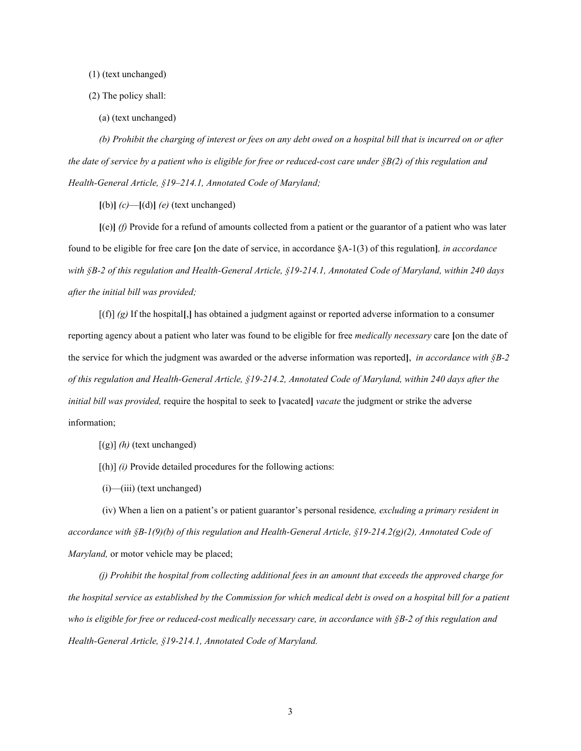(1) (text unchanged)

- (2) The policy shall:
	- (a) (text unchanged)

*(b) Prohibit the charging of interest or fees on any debt owed on a hospital bill that is incurred on or after the date of service by a patient who is eligible for free or reduced-cost care under §B(2) of this regulation and Health-General Article, §19–214.1, Annotated Code of Maryland;*

 $[(b)]$   $(c)$ — $[(d)]$   $(e)$  (text unchanged)

**[**(e)**]** *(f)* Provide for a refund of amounts collected from a patient or the guarantor of a patient who was later found to be eligible for free care **[**on the date of service, in accordance §A-1(3) of this regulation**]***, in accordance with §B-2 of this regulation and Health-General Article, §19-214.1, Annotated Code of Maryland, within 240 days after the initial bill was provided;*

[(f)] *(g)* If the hospital**[**,**]** has obtained a judgment against or reported adverse information to a consumer reporting agency about a patient who later was found to be eligible for free *medically necessary* care **[**on the date of the service for which the judgment was awarded or the adverse information was reported**]**, *in accordance with §B-2 of this regulation and Health-General Article, §19-214.2, Annotated Code of Maryland, within 240 days after the initial bill was provided,* require the hospital to seek to **[**vacated**]** *vacate* the judgment or strike the adverse information;

[(g)] *(h)* (text unchanged)

[(h)] *(i)* Provide detailed procedures for the following actions:

 $(i)$ — $(iii)$  (text unchanged)

(iv) When a lien on a patient's or patient guarantor's personal residence*, excluding a primary resident in accordance with §B-1(9)(b) of this regulation and Health-General Article, §19-214.2(g)(2), Annotated Code of Maryland,* or motor vehicle may be placed;

*(j) Prohibit the hospital from collecting additional fees in an amount that exceeds the approved charge for the hospital service as established by the Commission for which medical debt is owed on a hospital bill for a patient who is eligible for free or reduced-cost medically necessary care, in accordance with §B-2 of this regulation and Health-General Article, §19-214.1, Annotated Code of Maryland.*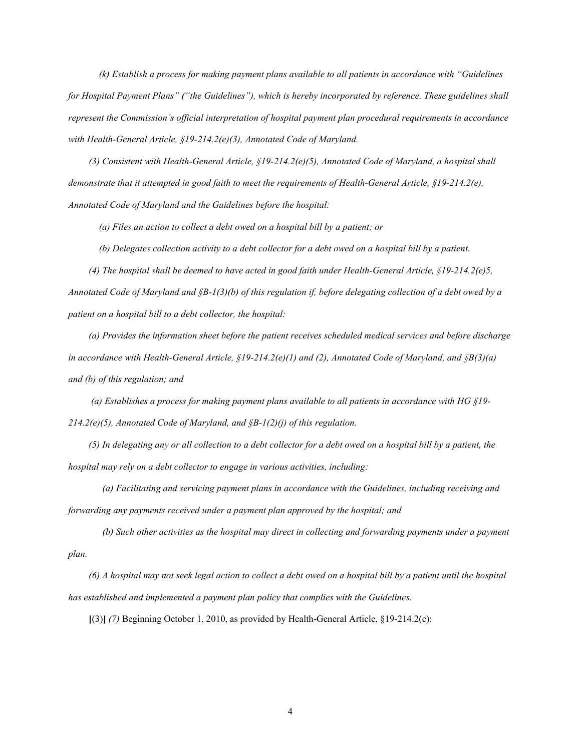*(k) Establish a process for making payment plans available to all patients in accordance with "Guidelines for Hospital Payment Plans" ("the Guidelines"), which is hereby incorporated by reference. These guidelines shall represent the Commission's official interpretation of hospital payment plan procedural requirements in accordance with Health-General Article, §19-214.2(e)(3), Annotated Code of Maryland.*

*(3) Consistent with Health-General Article, §19-214.2(e)(5), Annotated Code of Maryland, a hospital shall demonstrate that it attempted in good faith to meet the requirements of Health-General Article, §19-214.2(e), Annotated Code of Maryland and the Guidelines before the hospital:*

*(a) Files an action to collect a debt owed on a hospital bill by a patient; or*

*(b) Delegates collection activity to a debt collector for a debt owed on a hospital bill by a patient.*

*(4) The hospital shall be deemed to have acted in good faith under Health-General Article, §19-214.2(e)5, Annotated Code of Maryland and §B-1(3)(b) of this regulation if, before delegating collection of a debt owed by a patient on a hospital bill to a debt collector, the hospital:* 

*(a) Provides the information sheet before the patient receives scheduled medical services and before discharge in accordance with Health-General Article, §19-214.2(e)(1) and (2), Annotated Code of Maryland, and §B(3)(a) and (b) of this regulation; and*

*(a) Establishes a process for making payment plans available to all patients in accordance with HG §19- 214.2(e)(5), Annotated Code of Maryland, and §B-1(2)(j) of this regulation.* 

*(5) In delegating any or all collection to a debt collector for a debt owed on a hospital bill by a patient, the hospital may rely on a debt collector to engage in various activities, including:*

*(a) Facilitating and servicing payment plans in accordance with the Guidelines, including receiving and forwarding any payments received under a payment plan approved by the hospital; and*

*(b) Such other activities as the hospital may direct in collecting and forwarding payments under a payment plan.*

*(6) A hospital may not seek legal action to collect a debt owed on a hospital bill by a patient until the hospital has established and implemented a payment plan policy that complies with the Guidelines.* 

**[**(3)**]** *(7)* Beginning October 1, 2010, as provided by Health-General Article, §19-214.2(c):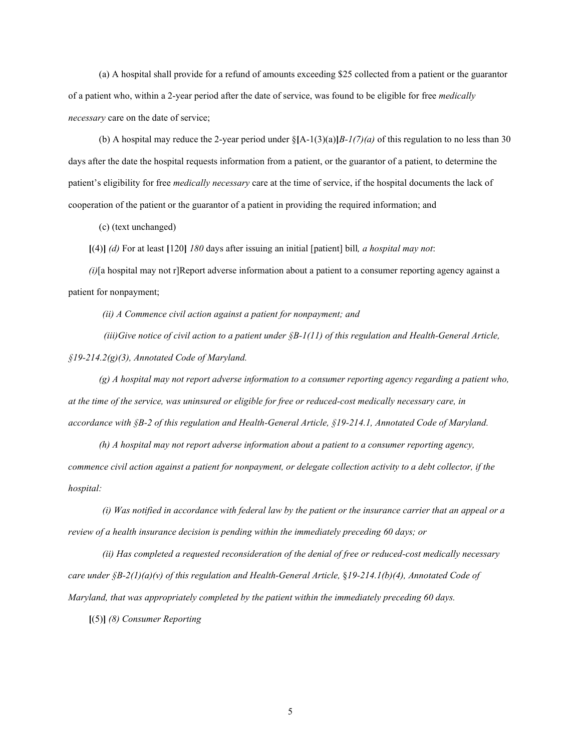(a) A hospital shall provide for a refund of amounts exceeding \$25 collected from a patient or the guarantor of a patient who, within a 2-year period after the date of service, was found to be eligible for free *medically necessary* care on the date of service;

(b) A hospital may reduce the 2-year period under  $\{\mathbf{A}-1(3)(a)|B-1(7)(a)$  of this regulation to no less than 30 days after the date the hospital requests information from a patient, or the guarantor of a patient, to determine the patient's eligibility for free *medically necessary* care at the time of service, if the hospital documents the lack of cooperation of the patient or the guarantor of a patient in providing the required information; and

(c) (text unchanged)

**[**(4)**]** *(d)* For at least **[**120**]** *180* days after issuing an initial [patient] bill*, a hospital may not*:

*(i)*[a hospital may not r]Report adverse information about a patient to a consumer reporting agency against a patient for nonpayment;

*(ii) A Commence civil action against a patient for nonpayment; and*

 *(iii)Give notice of civil action to a patient under §B-1(11) of this regulation and Health-General Article, §19-214.2(g)(3), Annotated Code of Maryland.*

*(g) A hospital may not report adverse information to a consumer reporting agency regarding a patient who, at the time of the service, was uninsured or eligible for free or reduced-cost medically necessary care, in accordance with §B-2 of this regulation and Health-General Article, §19-214.1, Annotated Code of Maryland.*

*(h) A hospital may not report adverse information about a patient to a consumer reporting agency, commence civil action against a patient for nonpayment, or delegate collection activity to a debt collector, if the hospital:*

*(i) Was notified in accordance with federal law by the patient or the insurance carrier that an appeal or a review of a health insurance decision is pending within the immediately preceding 60 days; or*

*(ii) Has completed a requested reconsideration of the denial of free or reduced-cost medically necessary care under §B-2(1)(a)(v) of this regulation and Health-General Article,* §*19-214.1(b)(4), Annotated Code of Maryland, that was appropriately completed by the patient within the immediately preceding 60 days.*

**[**(5)**]** *(8) Consumer Reporting*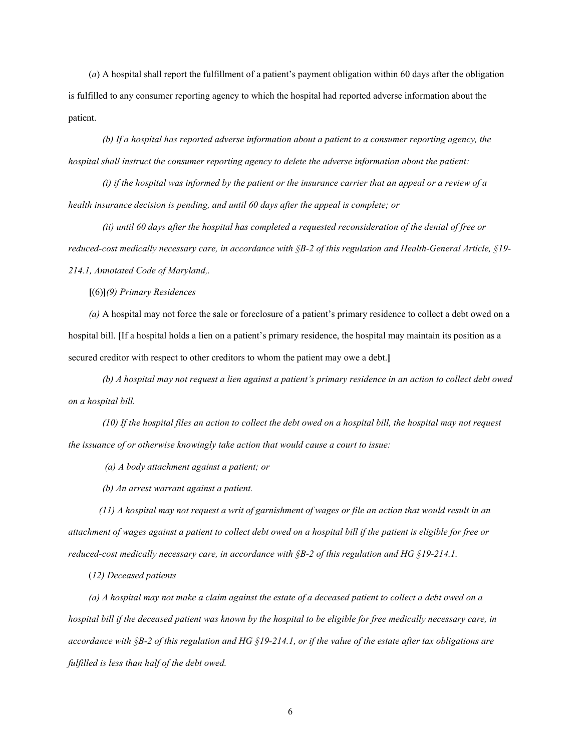(*a*) A hospital shall report the fulfillment of a patient's payment obligation within 60 days after the obligation is fulfilled to any consumer reporting agency to which the hospital had reported adverse information about the patient.

*(b) If a hospital has reported adverse information about a patient to a consumer reporting agency, the hospital shall instruct the consumer reporting agency to delete the adverse information about the patient:*

*(i) if the hospital was informed by the patient or the insurance carrier that an appeal or a review of a health insurance decision is pending, and until 60 days after the appeal is complete; or*

*(ii) until 60 days after the hospital has completed a requested reconsideration of the denial of free or reduced-cost medically necessary care, in accordance with §B-2 of this regulation and Health-General Article, §19- 214.1, Annotated Code of Maryland,.*

**[**(6)**]***(9) Primary Residences*

*(a)* A hospital may not force the sale or foreclosure of a patient's primary residence to collect a debt owed on a hospital bill. **[**If a hospital holds a lien on a patient's primary residence, the hospital may maintain its position as a secured creditor with respect to other creditors to whom the patient may owe a debt.**]**

*(b) A hospital may not request a lien against a patient's primary residence in an action to collect debt owed on a hospital bill.*

*(10) If the hospital files an action to collect the debt owed on a hospital bill, the hospital may not request the issuance of or otherwise knowingly take action that would cause a court to issue:*

*(a) A body attachment against a patient; or*

*(b) An arrest warrant against a patient.*

*(11) A hospital may not request a writ of garnishment of wages or file an action that would result in an attachment of wages against a patient to collect debt owed on a hospital bill if the patient is eligible for free or reduced-cost medically necessary care, in accordance with §B-2 of this regulation and HG §19-214.1.*

(*12) Deceased patients*

*(a) A hospital may not make a claim against the estate of a deceased patient to collect a debt owed on a hospital bill if the deceased patient was known by the hospital to be eligible for free medically necessary care, in accordance with §B-2 of this regulation and HG §19-214.1, or if the value of the estate after tax obligations are fulfilled is less than half of the debt owed.*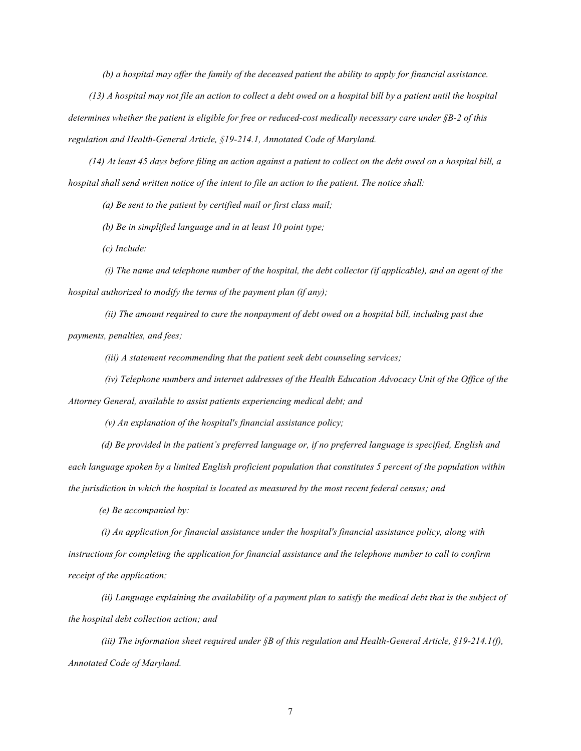*(b) a hospital may offer the family of the deceased patient the ability to apply for financial assistance.*

*(13) A hospital may not file an action to collect a debt owed on a hospital bill by a patient until the hospital determines whether the patient is eligible for free or reduced-cost medically necessary care under §B-2 of this regulation and Health-General Article, §19-214.1, Annotated Code of Maryland.*

*(14) At least 45 days before filing an action against a patient to collect on the debt owed on a hospital bill, a hospital shall send written notice of the intent to file an action to the patient. The notice shall:*

*(a) Be sent to the patient by certified mail or first class mail;*

*(b) Be in simplified language and in at least 10 point type;* 

*(c) Include:*

*(i) The name and telephone number of the hospital, the debt collector (if applicable), and an agent of the hospital authorized to modify the terms of the payment plan (if any);*

*(ii) The amount required to cure the nonpayment of debt owed on a hospital bill, including past due payments, penalties, and fees;* 

*(iii) A statement recommending that the patient seek debt counseling services;*

*(iv) Telephone numbers and internet addresses of the Health Education Advocacy Unit of the Office of the* 

*Attorney General, available to assist patients experiencing medical debt; and*

*(v) An explanation of the hospital's financial assistance policy;*

*(d) Be provided in the patient's preferred language or, if no preferred language is specified, English and each language spoken by a limited English proficient population that constitutes 5 percent of the population within the jurisdiction in which the hospital is located as measured by the most recent federal census; and*

*(e) Be accompanied by:*

*(i) An application for financial assistance under the hospital's financial assistance policy, along with instructions for completing the application for financial assistance and the telephone number to call to confirm receipt of the application;*

*(ii) Language explaining the availability of a payment plan to satisfy the medical debt that is the subject of the hospital debt collection action; and*

*(iii) The information sheet required under §B of this regulation and Health-General Article, §19-214.1(f), Annotated Code of Maryland.*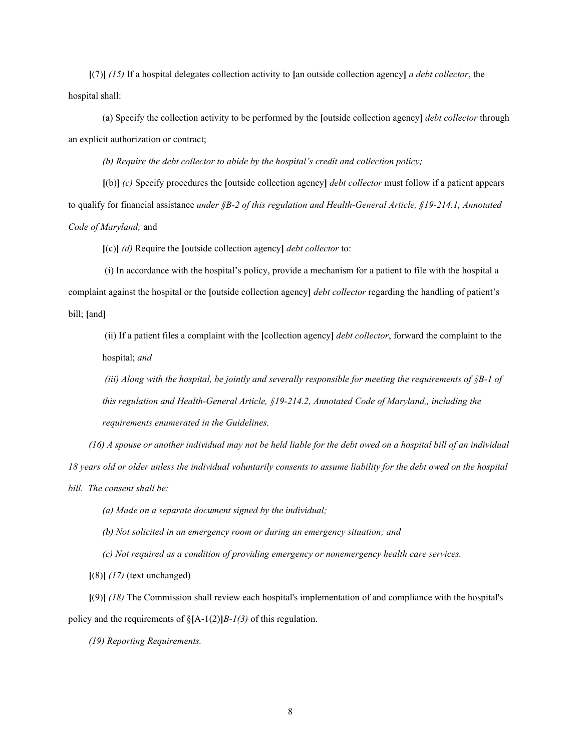**[**(7)**]** *(15)* If a hospital delegates collection activity to **[**an outside collection agency**]** *a debt collector*, the hospital shall:

(a) Specify the collection activity to be performed by the **[**outside collection agency**]** *debt collector* through an explicit authorization or contract;

*(b) Require the debt collector to abide by the hospital's credit and collection policy;*

**[**(b)**]** *(c)* Specify procedures the **[**outside collection agency**]** *debt collector* must follow if a patient appears to qualify for financial assistance *under §B-2 of this regulation and Health-General Article, §19-214.1, Annotated Code of Maryland;* and

**[**(c)**]** *(d)* Require the **[**outside collection agency**]** *debt collector* to:

(i) In accordance with the hospital's policy, provide a mechanism for a patient to file with the hospital a complaint against the hospital or the **[**outside collection agency**]** *debt collector* regarding the handling of patient's bill; **[**and**]**

(ii) If a patient files a complaint with the **[**collection agency**]** *debt collector*, forward the complaint to the hospital; *and*

*(iii) Along with the hospital, be jointly and severally responsible for meeting the requirements of §B-1 of this regulation and Health-General Article, §19-214.2, Annotated Code of Maryland,, including the requirements enumerated in the Guidelines.*

*(16) A spouse or another individual may not be held liable for the debt owed on a hospital bill of an individual 18 years old or older unless the individual voluntarily consents to assume liability for the debt owed on the hospital bill. The consent shall be:*

*(a) Made on a separate document signed by the individual;*

*(b) Not solicited in an emergency room or during an emergency situation; and* 

*(c) Not required as a condition of providing emergency or nonemergency health care services.*

**[**(8)**]** *(17)* (text unchanged)

**[**(9)**]** *(18)* The Commission shall review each hospital's implementation of and compliance with the hospital's policy and the requirements of §**[**A-1(2)**]***B-1(3)* of this regulation.

*(19) Reporting Requirements.*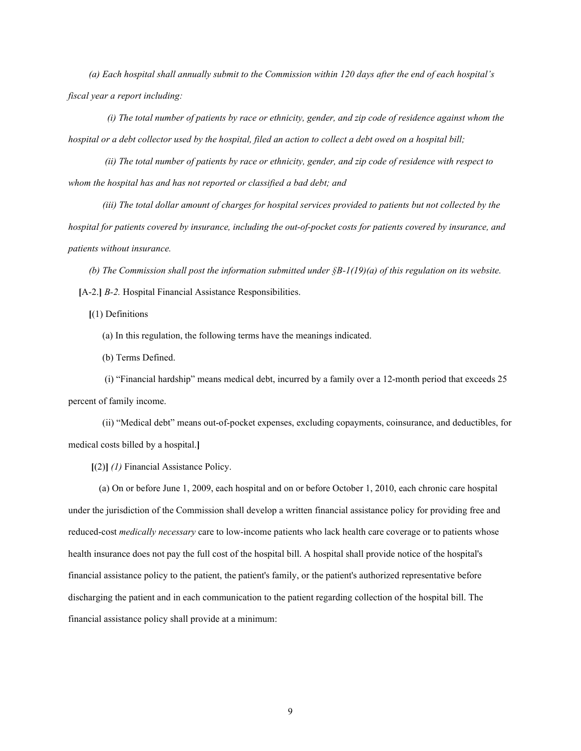*(a) Each hospital shall annually submit to the Commission within 120 days after the end of each hospital's fiscal year a report including:*

 *(i) The total number of patients by race or ethnicity, gender, and zip code of residence against whom the hospital or a debt collector used by the hospital, filed an action to collect a debt owed on a hospital bill;*

*(ii) The total number of patients by race or ethnicity, gender, and zip code of residence with respect to whom the hospital has and has not reported or classified a bad debt; and* 

*(iii) The total dollar amount of charges for hospital services provided to patients but not collected by the hospital for patients covered by insurance, including the out-of-pocket costs for patients covered by insurance, and patients without insurance.*

*(b) The Commission shall post the information submitted under §B-1(19)(a) of this regulation on its website.* **[**A-2.**]** *B-2.* Hospital Financial Assistance Responsibilities.

**[**(1) Definitions

(a) In this regulation, the following terms have the meanings indicated.

(b) Terms Defined.

(i) "Financial hardship" means medical debt, incurred by a family over a 12-month period that exceeds 25 percent of family income.

(ii) "Medical debt" means out-of-pocket expenses, excluding copayments, coinsurance, and deductibles, for medical costs billed by a hospital.**]**

**[**(2)**]** *(1)* Financial Assistance Policy.

(a) On or before June 1, 2009, each hospital and on or before October 1, 2010, each chronic care hospital under the jurisdiction of the Commission shall develop a written financial assistance policy for providing free and reduced-cost *medically necessary* care to low-income patients who lack health care coverage or to patients whose health insurance does not pay the full cost of the hospital bill. A hospital shall provide notice of the hospital's financial assistance policy to the patient, the patient's family, or the patient's authorized representative before discharging the patient and in each communication to the patient regarding collection of the hospital bill. The financial assistance policy shall provide at a minimum: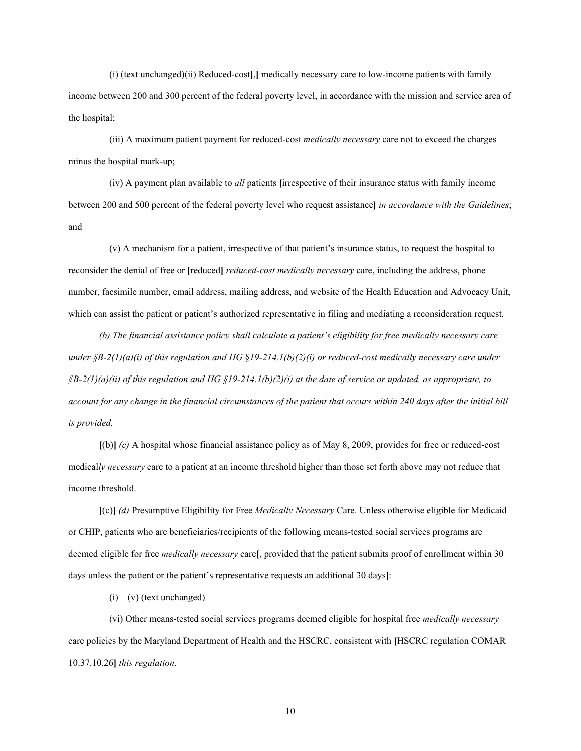(i) (text unchanged)(ii) Reduced-cost**[**,**]** medically necessary care to low-income patients with family income between 200 and 300 percent of the federal poverty level, in accordance with the mission and service area of the hospital;

(iii) A maximum patient payment for reduced-cost *medically necessary* care not to exceed the charges minus the hospital mark-up;

(iv) A payment plan available to *all* patients **[**irrespective of their insurance status with family income between 200 and 500 percent of the federal poverty level who request assistance**]** *in accordance with the Guidelines*; and

(v) A mechanism for a patient, irrespective of that patient's insurance status, to request the hospital to reconsider the denial of free or **[**reduced**]** *reduced-cost medically necessary* care, including the address, phone number, facsimile number, email address, mailing address, and website of the Health Education and Advocacy Unit, which can assist the patient or patient's authorized representative in filing and mediating a reconsideration request.

*(b) The financial assistance policy shall calculate a patient's eligibility for free medically necessary care under §B-2(1)(a)(i) of this regulation and HG* §*19-214.1(b)(2)(i) or reduced-cost medically necessary care under §B-2(1)(a)(ii) of this regulation and HG §19-214.1(b)(2)(i) at the date of service or updated, as appropriate, to account for any change in the financial circumstances of the patient that occurs within 240 days after the initial bill is provided.*

**[**(b)**]** *(c)* A hospital whose financial assistance policy as of May 8, 2009, provides for free or reduced-cost medical*ly necessary* care to a patient at an income threshold higher than those set forth above may not reduce that income threshold.

**[**(c)**]** *(d)* Presumptive Eligibility for Free *Medically Necessary* Care. Unless otherwise eligible for Medicaid or CHIP, patients who are beneficiaries/recipients of the following means-tested social services programs are deemed eligible for free *medically necessary* care**[**, provided that the patient submits proof of enrollment within 30 days unless the patient or the patient's representative requests an additional 30 days**]**:

 $(i)$ —(v) (text unchanged)

(vi) Other means-tested social services programs deemed eligible for hospital free *medically necessary* care policies by the Maryland Department of Health and the HSCRC, consistent with **[**HSCRC regulation COMAR 10.37.10.26**]** *this regulation*.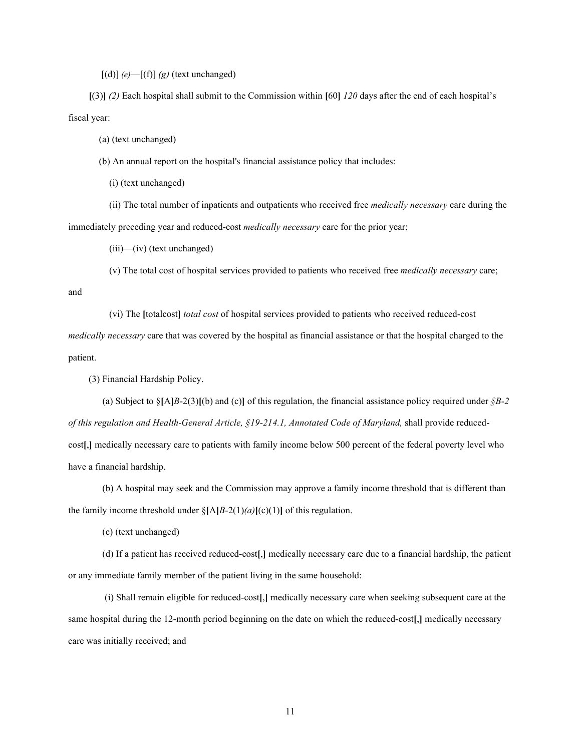$[(d)]$  *(e)*— $[(f)]$  *(g)* (text unchanged)

**[**(3)**]** *(2)* Each hospital shall submit to the Commission within **[**60**]** *120* days after the end of each hospital's fiscal year:

(a) (text unchanged)

(b) An annual report on the hospital's financial assistance policy that includes:

(i) (text unchanged)

(ii) The total number of inpatients and outpatients who received free *medically necessary* care during the immediately preceding year and reduced-cost *medically necessary* care for the prior year;

(iii)—(iv) (text unchanged)

(v) The total cost of hospital services provided to patients who received free *medically necessary* care;

and

(vi) The **[**totalcost**]** *total cost* of hospital services provided to patients who received reduced-cost *medically necessary* care that was covered by the hospital as financial assistance or that the hospital charged to the

patient.

(3) Financial Hardship Policy.

(a) Subject to  $\S[A]B-2(3)$  [(b) and (c)] of this regulation, the financial assistance policy required under  $\S B-2$ *of this regulation and Health-General Article, §19-214.1, Annotated Code of Maryland,* shall provide reducedcost**[**,**]** medically necessary care to patients with family income below 500 percent of the federal poverty level who have a financial hardship.

(b) A hospital may seek and the Commission may approve a family income threshold that is different than the family income threshold under  $\{\text{A}\}_{B-2(1)(a)[(c)(1)]\}$  of this regulation.

(c) (text unchanged)

(d) If a patient has received reduced-cost**[**,**]** medically necessary care due to a financial hardship, the patient or any immediate family member of the patient living in the same household:

(i) Shall remain eligible for reduced-cost**[**,**]** medically necessary care when seeking subsequent care at the same hospital during the 12-month period beginning on the date on which the reduced-cost**[**,**]** medically necessary care was initially received; and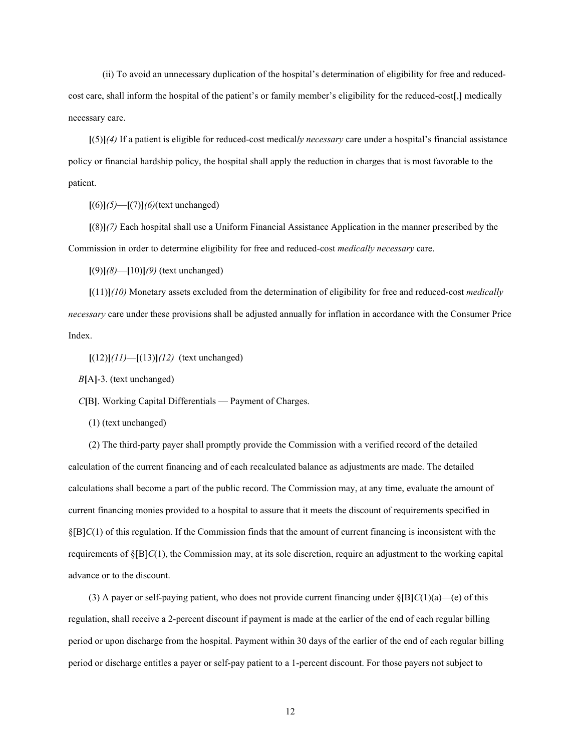(ii) To avoid an unnecessary duplication of the hospital's determination of eligibility for free and reducedcost care, shall inform the hospital of the patient's or family member's eligibility for the reduced-cost**[**,**]** medically necessary care.

**[**(5)**]***(4)* If a patient is eligible for reduced-cost medical*ly necessary* care under a hospital's financial assistance policy or financial hardship policy, the hospital shall apply the reduction in charges that is most favorable to the patient.

**[**(6)**]***(5)*—**[**(7)**]***(6)*(text unchanged)

**[**(8)**]***(7)* Each hospital shall use a Uniform Financial Assistance Application in the manner prescribed by the Commission in order to determine eligibility for free and reduced-cost *medically necessary* care.

**[**(9)**]***(8)*—**[**10)**]***(9)* (text unchanged)

**[**(11)**]***(10)* Monetary assets excluded from the determination of eligibility for free and reduced-cost *medically necessary* care under these provisions shall be adjusted annually for inflation in accordance with the Consumer Price Index.

**[**(12)**]***(11)*—**[**(13)**]***(12)* (text unchanged)

*B***[**A**]**-3. (text unchanged)

*C***[**B**]**. Working Capital Differentials — Payment of Charges.

(1) (text unchanged)

(2) The third-party payer shall promptly provide the Commission with a verified record of the detailed calculation of the current financing and of each recalculated balance as adjustments are made. The detailed calculations shall become a part of the public record. The Commission may, at any time, evaluate the amount of current financing monies provided to a hospital to assure that it meets the discount of requirements specified in §[B]*C*(1) of this regulation. If the Commission finds that the amount of current financing is inconsistent with the requirements of §[B]*C*(1), the Commission may, at its sole discretion, require an adjustment to the working capital advance or to the discount.

(3) A payer or self-paying patient, who does not provide current financing under §**[**B**]***C*(1)(a)—(e) of this regulation, shall receive a 2-percent discount if payment is made at the earlier of the end of each regular billing period or upon discharge from the hospital. Payment within 30 days of the earlier of the end of each regular billing period or discharge entitles a payer or self-pay patient to a 1-percent discount. For those payers not subject to